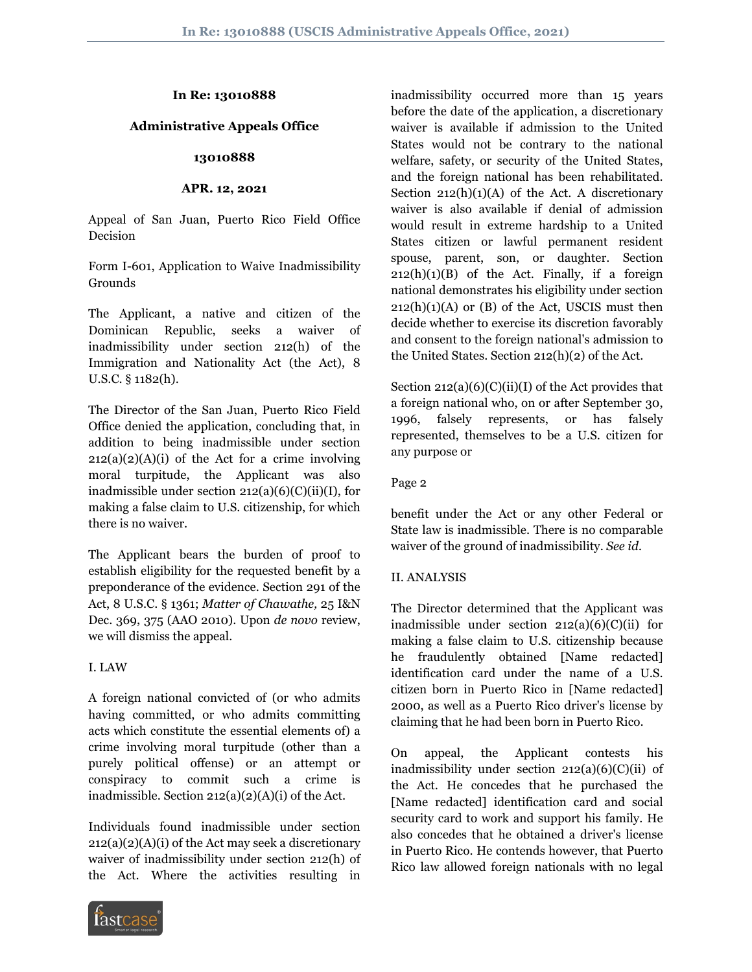# **In Re: 13010888**

# **Administrative Appeals Office**

#### **13010888**

#### **APR. 12, 2021**

Appeal of San Juan, Puerto Rico Field Office Decision

Form I-601, Application to Waive Inadmissibility Grounds

The Applicant, a native and citizen of the Dominican Republic, seeks a waiver of inadmissibility under section 212(h) of the Immigration and Nationality Act (the Act), 8 U.S.C. § 1182(h).

The Director of the San Juan, Puerto Rico Field Office denied the application, concluding that, in addition to being inadmissible under section  $212(a)(2)(A)(i)$  of the Act for a crime involving moral turpitude, the Applicant was also inadmissible under section  $212(a)(6)(C)(ii)(I)$ , for making a false claim to U.S. citizenship, for which there is no waiver.

The Applicant bears the burden of proof to establish eligibility for the requested benefit by a preponderance of the evidence. Section 291 of the Act, 8 U.S.C. § 1361; *Matter of Chawathe,* 25 I&N Dec. 369, 375 (AAO 2010). Upon *de novo* review, we will dismiss the appeal.

# I. LAW

A foreign national convicted of (or who admits having committed, or who admits committing acts which constitute the essential elements of) a crime involving moral turpitude (other than a purely political offense) or an attempt or conspiracy to commit such a crime is inadmissible. Section 212(a)(2)(A)(i) of the Act.

Individuals found inadmissible under section  $212(a)(2)(A)(i)$  of the Act may seek a discretionary waiver of inadmissibility under section 212(h) of the Act. Where the activities resulting in



inadmissibility occurred more than 15 years before the date of the application, a discretionary waiver is available if admission to the United States would not be contrary to the national welfare, safety, or security of the United States, and the foreign national has been rehabilitated. Section  $212(h)(1)(A)$  of the Act. A discretionary waiver is also available if denial of admission would result in extreme hardship to a United States citizen or lawful permanent resident spouse, parent, son, or daughter. Section  $212(h)(1)(B)$  of the Act. Finally, if a foreign national demonstrates his eligibility under section  $212(h)(1)(A)$  or  $(B)$  of the Act, USCIS must then decide whether to exercise its discretion favorably and consent to the foreign national's admission to the United States. Section 212(h)(2) of the Act.

Section  $212(a)(6)(C)(ii)(I)$  of the Act provides that a foreign national who, on or after September 30, 1996, falsely represents, or has falsely represented, themselves to be a U.S. citizen for any purpose or

Page 2

benefit under the Act or any other Federal or State law is inadmissible. There is no comparable waiver of the ground of inadmissibility. *See id.*

# II. ANALYSIS

The Director determined that the Applicant was inadmissible under section  $212(a)(6)(C)(ii)$  for making a false claim to U.S. citizenship because he fraudulently obtained [Name redacted] identification card under the name of a U.S. citizen born in Puerto Rico in [Name redacted] 2000, as well as a Puerto Rico driver's license by claiming that he had been born in Puerto Rico.

On appeal, the Applicant contests his inadmissibility under section  $212(a)(6)(C)(ii)$  of the Act. He concedes that he purchased the [Name redacted] identification card and social security card to work and support his family. He also concedes that he obtained a driver's license in Puerto Rico. He contends however, that Puerto Rico law allowed foreign nationals with no legal